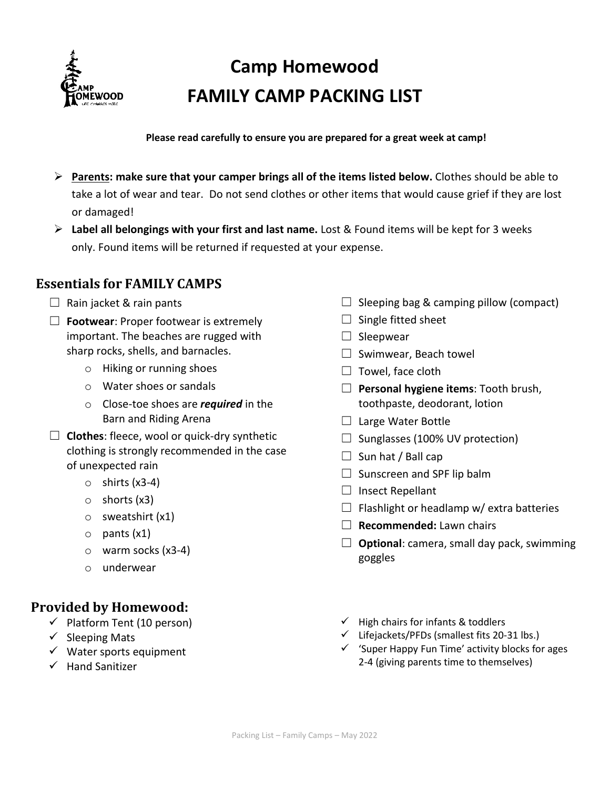

# **Camp Homewood FAMILY CAMP PACKING LIST**

**Please read carefully to ensure you are prepared for a great week at camp!**

- **Parents: make sure that your camper brings all of the items listed below.** Clothes should be able to take a lot of wear and tear. Do not send clothes or other items that would cause grief if they are lost or damaged!
- **Label all belongings with your first and last name.** Lost & Found items will be kept for 3 weeks only. Found items will be returned if requested at your expense.

## **Essentials for FAMILY CAMPS**

#### $\Box$  Rain jacket & rain pants

- ☐ **Footwear**: Proper footwear is extremely important. The beaches are rugged with sharp rocks, shells, and barnacles.
	- o Hiking or running shoes
	- o Water shoes or sandals
	- o Close-toe shoes are *required* in the Barn and Riding Arena
- ☐ **Clothes**: fleece, wool or quick-dry synthetic clothing is strongly recommended in the case of unexpected rain
	- $\circ$  shirts (x3-4)
	- o shorts (x3)
	- o sweatshirt (x1)
	- o pants (x1)
	- o warm socks (x3-4)
	- o underwear

## **Provided by Homewood:**

- $\checkmark$  Platform Tent (10 person)
- $\checkmark$  Sleeping Mats
- $\checkmark$  Water sports equipment
- $\checkmark$  Hand Sanitizer
- $\Box$  Sleeping bag & camping pillow (compact)
- $\Box$  Single fitted sheet
- $\Box$  Sleepwear
- □ Swimwear, Beach towel
- $\Box$  Towel, face cloth
- ☐ **Personal hygiene items**: Tooth brush, toothpaste, deodorant, lotion
- □ Large Water Bottle
- $\Box$  Sunglasses (100% UV protection)
- $\Box$  Sun hat / Ball cap
- $\Box$  Sunscreen and SPF lip balm
- $\Box$  Insect Repellant
- $\Box$  Flashlight or headlamp w/ extra batteries
- ☐ **Recommended:** Lawn chairs
- ☐ **Optional**: camera, small day pack, swimming goggles
- $\checkmark$  High chairs for infants & toddlers
- $\checkmark$  Lifejackets/PFDs (smallest fits 20-31 lbs.)
- $\checkmark$  'Super Happy Fun Time' activity blocks for ages 2-4 (giving parents time to themselves)